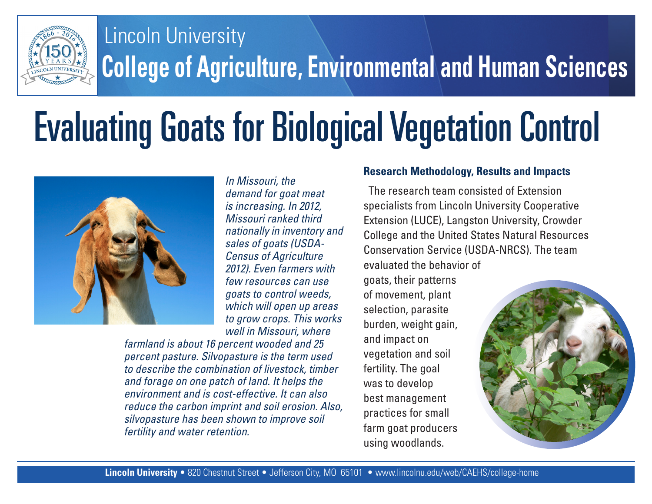

## **College of Agriculture, Environmental and Human Sciences** Lincoln University

## Evaluating Goats for Biological Vegetation Control



*In Missouri, the demand for goat meat is increasing. In 2012, Missouri ranked third nationally in inventory and sales of goats (USDA-Census of Agriculture 2012). Even farmers with few resources can use goats to control weeds, which will open up areas to grow crops. This works well in Missouri, where* 

*farmland is about 16 percent wooded and 25 percent pasture. Silvopasture is the term used to describe the combination of livestock, timber and forage on one patch of land. It helps the environment and is cost-effective. It can also reduce the carbon imprint and soil erosion. Also, silvopasture has been shown to improve soil fertility and water retention.* 

## **Research Methodology, Results and Impacts**

The research team consisted of Extension specialists from Lincoln University Cooperative Extension (LUCE), Langston University, Crowder College and the United States Natural Resources Conservation Service (USDA-NRCS). The team evaluated the behavior of

goats, their patterns of movement, plant selection, parasite burden, weight gain, and impact on vegetation and soil fertility. The goal was to develop best management practices for small farm goat producers using woodlands.